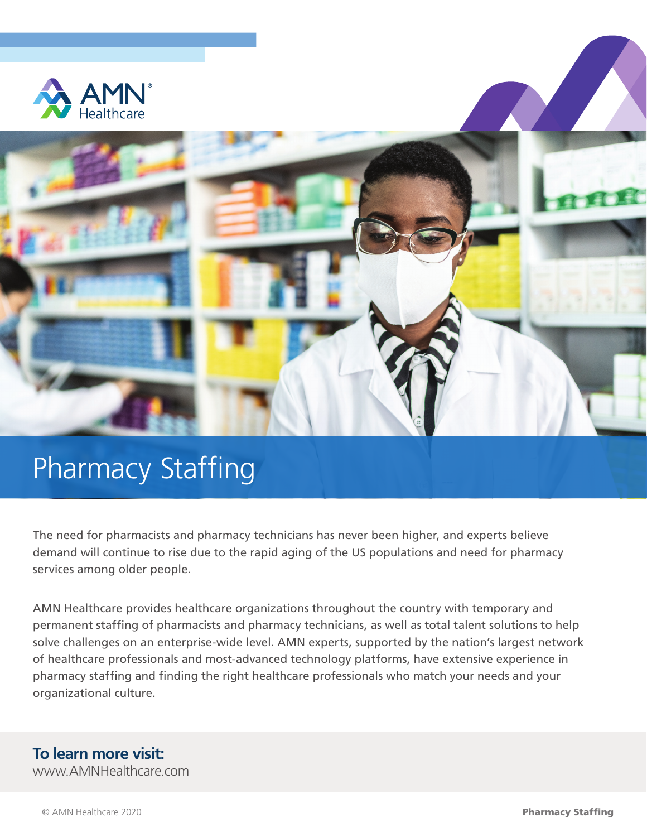



## Pharmacy Staffing

The need for pharmacists and pharmacy technicians has never been higher, and experts believe demand will continue to rise due to the rapid aging of the US populations and need for pharmacy services among older people.

AMN Healthcare provides healthcare organizations throughout the country with temporary and permanent staffing of pharmacists and pharmacy technicians, as well as total talent solutions to help solve challenges on an enterprise-wide level. AMN experts, supported by the nation's largest network of healthcare professionals and most-advanced technology platforms, have extensive experience in pharmacy staffing and finding the right healthcare professionals who match your needs and your organizational culture.

## **To learn more visit:**

www.AMNHealthcare.com